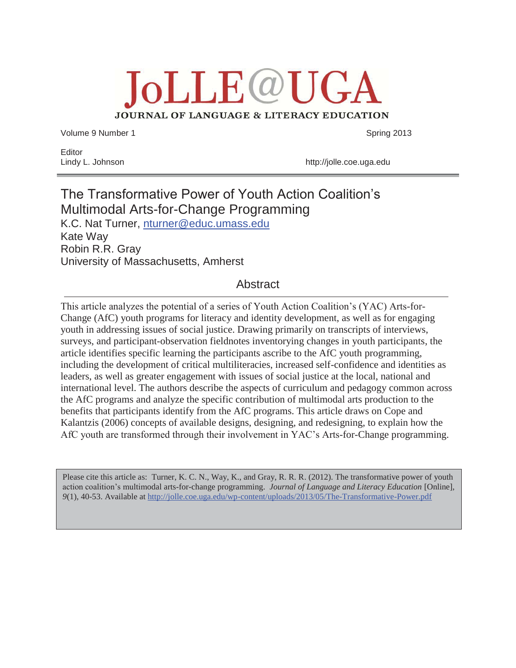**JoLLE@UGA** JOURNAL OF LANGUAGE & LITERACY EDUCATION

Volume 9 Number 1 Spring 2013

Editor

Lindy L. Johnson http://jolle.coe.uga.edu

# The Transformative Power of Youth Action Coalition's Multimodal Arts-for-Change Programming K.C. Nat Turner, nturner@educ.umass.edu Kate Way Robin R.R. Gray University of Massachusetts, Amherst

# Abstract

This article analyzes the potential of a series of Youth Action Coalition's (YAC) Arts-for-Change (AfC) youth programs for literacy and identity development, as well as for engaging youth in addressing issues of social justice. Drawing primarily on transcripts of interviews, surveys, and participant-observation fieldnotes inventorying changes in youth participants, the article identifies specific learning the participants ascribe to the AfC youth programming, including the development of critical multiliteracies, increased self-confidence and identities as leaders, as well as greater engagement with issues of social justice at the local, national and international level. The authors describe the aspects of curriculum and pedagogy common across the AfC programs and analyze the specific contribution of multimodal arts production to the benefits that participants identify from the AfC programs. This article draws on Cope and Kalantzis (2006) concepts of available designs, designing, and redesigning, to explain how the AfC youth are transformed through their involvement in YAC's Arts-for-Change programming.

Please cite this article as: Turner, K. C. N., Way, K., and Gray, R. R. R. (2012). The transformative power of youth action coalition's multimodal arts-for-change programming. *Journal of Language and Literacy Education* [Online], *9*(1), 40-53. Available at http://jolle.coe.uga.edu/wp-content/uploads/2013/05/The-Transformative-Power.pdf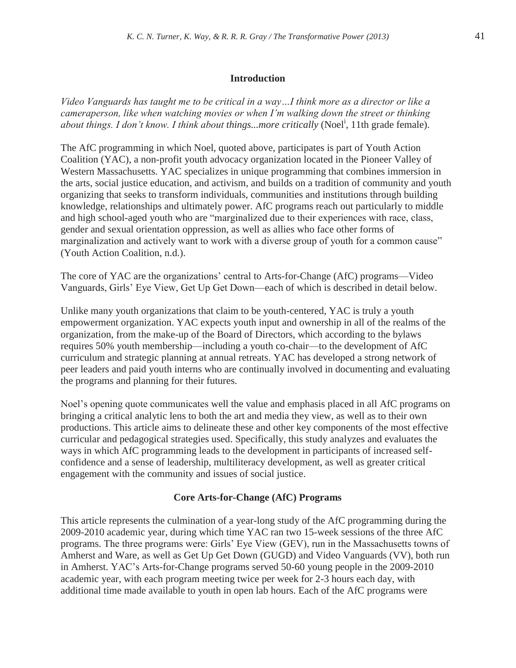#### **Introduction**

*Video Vanguards has taught me to be critical in a way…I think more as a director or like a cameraperson, like when watching movies or when I'm walking down the street or thinking*  about things. I don't know. I think about things...more critically (Noel<sup>i</sup>, 11th grade female).

The AfC programming in which Noel, quoted above, participates is part of Youth Action Coalition (YAC), a non-profit youth advocacy organization located in the Pioneer Valley of Western Massachusetts. YAC specializes in unique programming that combines immersion in the arts, social justice education, and activism, and builds on a tradition of community and youth organizing that seeks to transform individuals, communities and institutions through building knowledge, relationships and ultimately power. AfC programs reach out particularly to middle and high school-aged youth who are "marginalized due to their experiences with race, class, gender and sexual orientation oppression, as well as allies who face other forms of marginalization and actively want to work with a diverse group of youth for a common cause" (Youth Action Coalition, n.d.).

The core of YAC are the organizations' central to Arts-for-Change (AfC) programs—Video Vanguards, Girls' Eye View, Get Up Get Down—each of which is described in detail below.

Unlike many youth organizations that claim to be youth-centered, YAC is truly a youth empowerment organization. YAC expects youth input and ownership in all of the realms of the organization, from the make-up of the Board of Directors, which according to the bylaws requires 50% youth membership—including a youth co-chair—to the development of AfC curriculum and strategic planning at annual retreats. YAC has developed a strong network of peer leaders and paid youth interns who are continually involved in documenting and evaluating the programs and planning for their futures.

Noel's opening quote communicates well the value and emphasis placed in all AfC programs on bringing a critical analytic lens to both the art and media they view, as well as to their own productions. This article aims to delineate these and other key components of the most effective curricular and pedagogical strategies used. Specifically, this study analyzes and evaluates the ways in which AfC programming leads to the development in participants of increased selfconfidence and a sense of leadership, multiliteracy development, as well as greater critical engagement with the community and issues of social justice.

#### **Core Arts-for-Change (AfC) Programs**

This article represents the culmination of a year-long study of the AfC programming during the 2009-2010 academic year, during which time YAC ran two 15-week sessions of the three AfC programs. The three programs were: Girls' Eye View (GEV), run in the Massachusetts towns of Amherst and Ware, as well as Get Up Get Down (GUGD) and Video Vanguards (VV), both run in Amherst. YAC's Arts-for-Change programs served 50-60 young people in the 2009-2010 academic year, with each program meeting twice per week for 2-3 hours each day, with additional time made available to youth in open lab hours. Each of the AfC programs were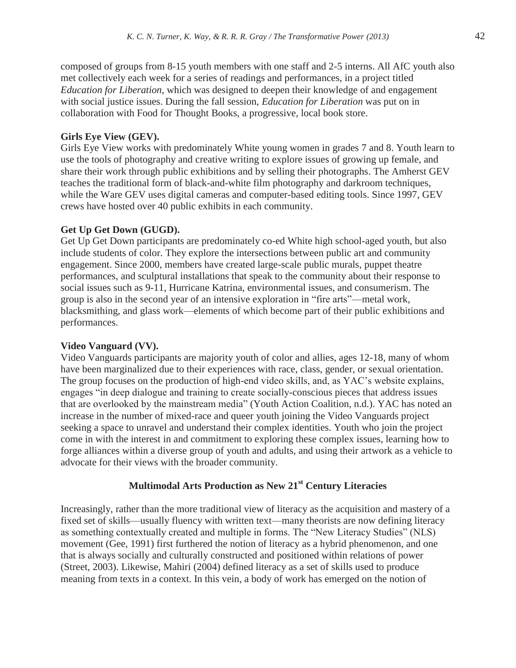composed of groups from 8-15 youth members with one staff and 2-5 interns. All AfC youth also met collectively each week for a series of readings and performances, in a project titled *Education for Liberation,* which was designed to deepen their knowledge of and engagement with social justice issues. During the fall session, *Education for Liberation* was put on in collaboration with Food for Thought Books, a progressive, local book store.

### **Girls Eye View (GEV).**

Girls Eye View works with predominately White young women in grades 7 and 8. Youth learn to use the tools of photography and creative writing to explore issues of growing up female, and share their work through public exhibitions and by selling their photographs. The Amherst GEV teaches the traditional form of black-and-white film photography and darkroom techniques, while the Ware GEV uses digital cameras and computer-based editing tools. Since 1997, GEV crews have hosted over 40 public exhibits in each community.

### **Get Up Get Down (GUGD).**

Get Up Get Down participants are predominately co-ed White high school-aged youth, but also include students of color. They explore the intersections between public art and community engagement. Since 2000, members have created large-scale public murals, puppet theatre performances, and sculptural installations that speak to the community about their response to social issues such as 9-11, Hurricane Katrina, environmental issues, and consumerism. The group is also in the second year of an intensive exploration in "fire arts"—metal work, blacksmithing, and glass work—elements of which become part of their public exhibitions and performances.

# **Video Vanguard (VV).**

Video Vanguards participants are majority youth of color and allies, ages 12-18, many of whom have been marginalized due to their experiences with race, class, gender, or sexual orientation. The group focuses on the production of high-end video skills, and, as YAC's website explains, engages "in deep dialogue and training to create socially-conscious pieces that address issues that are overlooked by the mainstream media" (Youth Action Coalition, n.d.). YAC has noted an increase in the number of mixed-race and queer youth joining the Video Vanguards project seeking a space to unravel and understand their complex identities. Youth who join the project come in with the interest in and commitment to exploring these complex issues, learning how to forge alliances within a diverse group of youth and adults, and using their artwork as a vehicle to advocate for their views with the broader community.

# **Multimodal Arts Production as New 21st Century Literacies**

Increasingly, rather than the more traditional view of literacy as the acquisition and mastery of a fixed set of skills—usually fluency with written text—many theorists are now defining literacy as something contextually created and multiple in forms. The "New Literacy Studies" (NLS) movement (Gee, 1991) first furthered the notion of literacy as a hybrid phenomenon, and one that is always socially and culturally constructed and positioned within relations of power (Street, 2003). Likewise, Mahiri (2004) defined literacy as a set of skills used to produce meaning from texts in a context. In this vein, a body of work has emerged on the notion of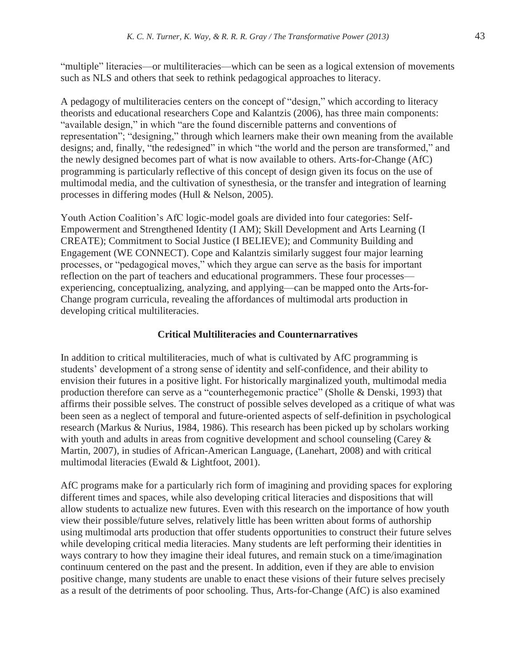"multiple" literacies—or multiliteracies—which can be seen as a logical extension of movements such as NLS and others that seek to rethink pedagogical approaches to literacy.

A pedagogy of multiliteracies centers on the concept of "design," which according to literacy theorists and educational researchers Cope and Kalantzis (2006), has three main components: "available design," in which "are the found discernible patterns and conventions of representation"; "designing," through which learners make their own meaning from the available designs; and, finally, "the redesigned" in which "the world and the person are transformed," and the newly designed becomes part of what is now available to others. Arts-for-Change (AfC) programming is particularly reflective of this concept of design given its focus on the use of multimodal media, and the cultivation of synesthesia, or the transfer and integration of learning processes in differing modes (Hull & Nelson, 2005).

Youth Action Coalition's AfC logic-model goals are divided into four categories: Self-Empowerment and Strengthened Identity (I AM); Skill Development and Arts Learning (I CREATE); Commitment to Social Justice (I BELIEVE); and Community Building and Engagement (WE CONNECT). Cope and Kalantzis similarly suggest four major learning processes, or "pedagogical moves," which they argue can serve as the basis for important reflection on the part of teachers and educational programmers. These four processes experiencing, conceptualizing, analyzing, and applying—can be mapped onto the Arts-for-Change program curricula, revealing the affordances of multimodal arts production in developing critical multiliteracies.

### **Critical Multiliteracies and Counternarratives**

In addition to critical multiliteracies, much of what is cultivated by AfC programming is students' development of a strong sense of identity and self-confidence, and their ability to envision their futures in a positive light. For historically marginalized youth, multimodal media production therefore can serve as a "counterhegemonic practice" (Sholle & Denski, 1993) that affirms their possible selves. The construct of possible selves developed as a critique of what was been seen as a neglect of temporal and future-oriented aspects of self-definition in psychological research (Markus & Nurius, 1984, 1986). This research has been picked up by scholars working with youth and adults in areas from cognitive development and school counseling (Carey & Martin, 2007), in studies of African-American Language, (Lanehart, 2008) and with critical multimodal literacies (Ewald & Lightfoot, 2001).

AfC programs make for a particularly rich form of imagining and providing spaces for exploring different times and spaces, while also developing critical literacies and dispositions that will allow students to actualize new futures. Even with this research on the importance of how youth view their possible/future selves, relatively little has been written about forms of authorship using multimodal arts production that offer students opportunities to construct their future selves while developing critical media literacies. Many students are left performing their identities in ways contrary to how they imagine their ideal futures, and remain stuck on a time/imagination continuum centered on the past and the present. In addition, even if they are able to envision positive change, many students are unable to enact these visions of their future selves precisely as a result of the detriments of poor schooling. Thus, Arts-for-Change (AfC) is also examined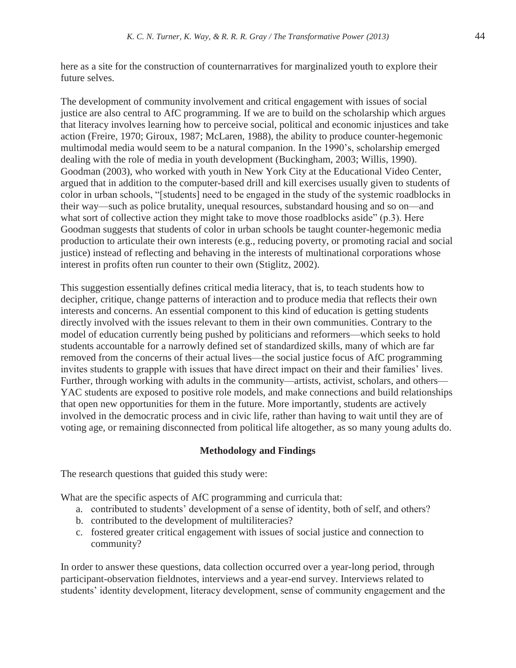here as a site for the construction of counternarratives for marginalized youth to explore their future selves.

The development of community involvement and critical engagement with issues of social justice are also central to AfC programming. If we are to build on the scholarship which argues that literacy involves learning how to perceive social, political and economic injustices and take action (Freire, 1970; Giroux, 1987; McLaren, 1988), the ability to produce counter-hegemonic multimodal media would seem to be a natural companion. In the 1990's, scholarship emerged dealing with the role of media in youth development (Buckingham, 2003; Willis, 1990). Goodman (2003), who worked with youth in New York City at the Educational Video Center, argued that in addition to the computer-based drill and kill exercises usually given to students of color in urban schools, "[students] need to be engaged in the study of the systemic roadblocks in their way—such as police brutality, unequal resources, substandard housing and so on—and what sort of collective action they might take to move those roadblocks aside" (p.3). Here Goodman suggests that students of color in urban schools be taught counter-hegemonic media production to articulate their own interests (e.g., reducing poverty, or promoting racial and social justice) instead of reflecting and behaving in the interests of multinational corporations whose interest in profits often run counter to their own (Stiglitz, 2002).

This suggestion essentially defines critical media literacy, that is, to teach students how to decipher, critique, change patterns of interaction and to produce media that reflects their own interests and concerns. An essential component to this kind of education is getting students directly involved with the issues relevant to them in their own communities. Contrary to the model of education currently being pushed by politicians and reformers—which seeks to hold students accountable for a narrowly defined set of standardized skills, many of which are far removed from the concerns of their actual lives—the social justice focus of AfC programming invites students to grapple with issues that have direct impact on their and their families' lives. Further, through working with adults in the community—artists, activist, scholars, and others— YAC students are exposed to positive role models, and make connections and build relationships that open new opportunities for them in the future. More importantly, students are actively involved in the democratic process and in civic life, rather than having to wait until they are of voting age, or remaining disconnected from political life altogether, as so many young adults do.

#### **Methodology and Findings**

The research questions that guided this study were:

What are the specific aspects of AfC programming and curricula that:

- a. contributed to students' development of a sense of identity, both of self, and others?
- b. contributed to the development of multiliteracies?
- c. fostered greater critical engagement with issues of social justice and connection to community?

In order to answer these questions, data collection occurred over a year-long period, through participant-observation fieldnotes, interviews and a year-end survey. Interviews related to students' identity development, literacy development, sense of community engagement and the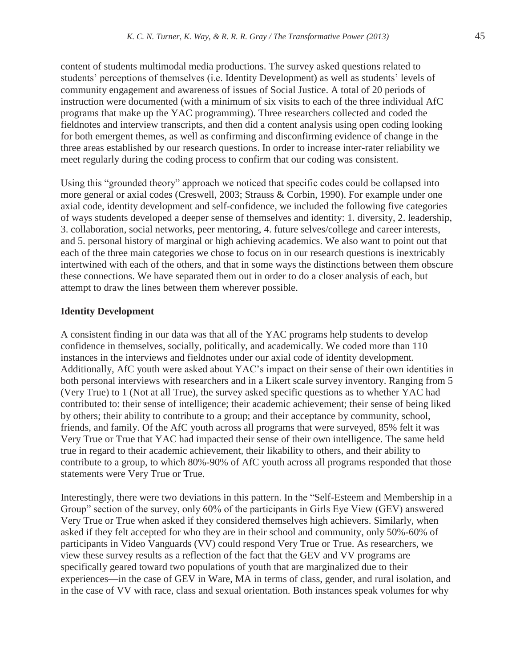content of students multimodal media productions. The survey asked questions related to students' perceptions of themselves (i.e. Identity Development) as well as students' levels of community engagement and awareness of issues of Social Justice. A total of 20 periods of instruction were documented (with a minimum of six visits to each of the three individual AfC programs that make up the YAC programming). Three researchers collected and coded the fieldnotes and interview transcripts, and then did a content analysis using open coding looking for both emergent themes, as well as confirming and disconfirming evidence of change in the three areas established by our research questions. In order to increase inter-rater reliability we meet regularly during the coding process to confirm that our coding was consistent.

Using this "grounded theory" approach we noticed that specific codes could be collapsed into more general or axial codes (Creswell, 2003; Strauss & Corbin, 1990). For example under one axial code, identity development and self-confidence, we included the following five categories of ways students developed a deeper sense of themselves and identity: 1. diversity, 2. leadership, 3. collaboration, social networks, peer mentoring, 4. future selves/college and career interests, and 5. personal history of marginal or high achieving academics. We also want to point out that each of the three main categories we chose to focus on in our research questions is inextricably intertwined with each of the others, and that in some ways the distinctions between them obscure these connections. We have separated them out in order to do a closer analysis of each, but attempt to draw the lines between them wherever possible.

#### **Identity Development**

A consistent finding in our data was that all of the YAC programs help students to develop confidence in themselves, socially, politically, and academically. We coded more than 110 instances in the interviews and fieldnotes under our axial code of identity development. Additionally, AfC youth were asked about YAC's impact on their sense of their own identities in both personal interviews with researchers and in a Likert scale survey inventory. Ranging from 5 (Very True) to 1 (Not at all True), the survey asked specific questions as to whether YAC had contributed to: their sense of intelligence; their academic achievement; their sense of being liked by others; their ability to contribute to a group; and their acceptance by community, school, friends, and family. Of the AfC youth across all programs that were surveyed, 85% felt it was Very True or True that YAC had impacted their sense of their own intelligence. The same held true in regard to their academic achievement, their likability to others, and their ability to contribute to a group, to which 80%-90% of AfC youth across all programs responded that those statements were Very True or True.

Interestingly, there were two deviations in this pattern. In the "Self-Esteem and Membership in a Group" section of the survey, only 60% of the participants in Girls Eye View (GEV) answered Very True or True when asked if they considered themselves high achievers. Similarly, when asked if they felt accepted for who they are in their school and community, only 50%-60% of participants in Video Vanguards (VV) could respond Very True or True. As researchers, we view these survey results as a reflection of the fact that the GEV and VV programs are specifically geared toward two populations of youth that are marginalized due to their experiences—in the case of GEV in Ware, MA in terms of class, gender, and rural isolation, and in the case of VV with race, class and sexual orientation. Both instances speak volumes for why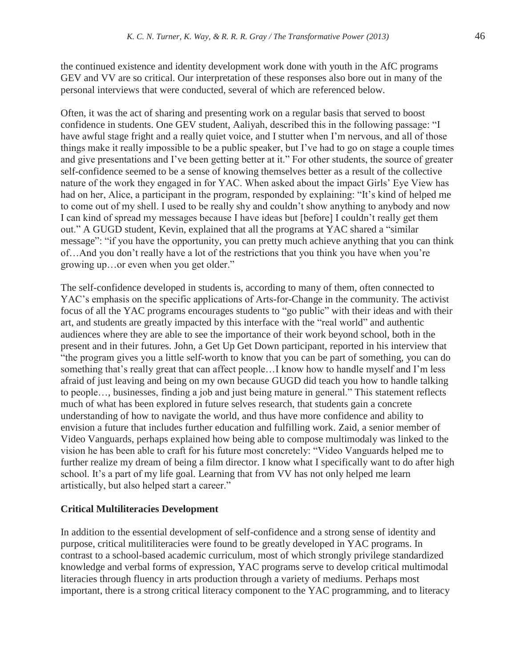the continued existence and identity development work done with youth in the AfC programs GEV and VV are so critical. Our interpretation of these responses also bore out in many of the personal interviews that were conducted, several of which are referenced below.

Often, it was the act of sharing and presenting work on a regular basis that served to boost confidence in students. One GEV student, Aaliyah, described this in the following passage: "I have awful stage fright and a really quiet voice, and I stutter when I'm nervous, and all of those things make it really impossible to be a public speaker, but I've had to go on stage a couple times and give presentations and I've been getting better at it." For other students, the source of greater self-confidence seemed to be a sense of knowing themselves better as a result of the collective nature of the work they engaged in for YAC. When asked about the impact Girls' Eye View has had on her, Alice, a participant in the program, responded by explaining: "It's kind of helped me to come out of my shell. I used to be really shy and couldn't show anything to anybody and now I can kind of spread my messages because I have ideas but [before] I couldn't really get them out." A GUGD student, Kevin, explained that all the programs at YAC shared a "similar message": "if you have the opportunity, you can pretty much achieve anything that you can think of…And you don't really have a lot of the restrictions that you think you have when you're growing up…or even when you get older."

The self-confidence developed in students is, according to many of them, often connected to YAC's emphasis on the specific applications of Arts-for-Change in the community. The activist focus of all the YAC programs encourages students to "go public" with their ideas and with their art, and students are greatly impacted by this interface with the "real world" and authentic audiences where they are able to see the importance of their work beyond school, both in the present and in their futures. John, a Get Up Get Down participant, reported in his interview that "the program gives you a little self-worth to know that you can be part of something, you can do something that's really great that can affect people…I know how to handle myself and I'm less afraid of just leaving and being on my own because GUGD did teach you how to handle talking to people…, businesses, finding a job and just being mature in general." This statement reflects much of what has been explored in future selves research, that students gain a concrete understanding of how to navigate the world, and thus have more confidence and ability to envision a future that includes further education and fulfilling work. Zaid, a senior member of Video Vanguards, perhaps explained how being able to compose multimodaly was linked to the vision he has been able to craft for his future most concretely: "Video Vanguards helped me to further realize my dream of being a film director. I know what I specifically want to do after high school. It's a part of my life goal. Learning that from VV has not only helped me learn artistically, but also helped start a career."

#### **Critical Multiliteracies Development**

In addition to the essential development of self-confidence and a strong sense of identity and purpose, critical mulitiliteracies were found to be greatly developed in YAC programs. In contrast to a school-based academic curriculum, most of which strongly privilege standardized knowledge and verbal forms of expression, YAC programs serve to develop critical multimodal literacies through fluency in arts production through a variety of mediums. Perhaps most important, there is a strong critical literacy component to the YAC programming, and to literacy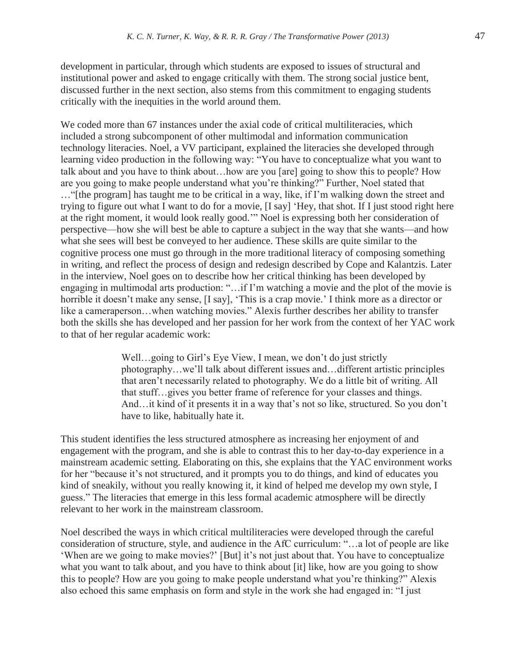development in particular, through which students are exposed to issues of structural and institutional power and asked to engage critically with them. The strong social justice bent, discussed further in the next section, also stems from this commitment to engaging students critically with the inequities in the world around them.

We coded more than 67 instances under the axial code of critical multiliteracies, which included a strong subcomponent of other multimodal and information communication technology literacies. Noel, a VV participant, explained the literacies she developed through learning video production in the following way: "You have to conceptualize what you want to talk about and you have to think about…how are you [are] going to show this to people? How are you going to make people understand what you're thinking?" Further, Noel stated that …"[the program] has taught me to be critical in a way, like, if I'm walking down the street and trying to figure out what I want to do for a movie, [I say] 'Hey, that shot. If I just stood right here at the right moment, it would look really good.'" Noel is expressing both her consideration of perspective—how she will best be able to capture a subject in the way that she wants—and how what she sees will best be conveyed to her audience. These skills are quite similar to the cognitive process one must go through in the more traditional literacy of composing something in writing, and reflect the process of design and redesign described by Cope and Kalantzis. Later in the interview, Noel goes on to describe how her critical thinking has been developed by engaging in multimodal arts production: "…if I'm watching a movie and the plot of the movie is horrible it doesn't make any sense, [I say], 'This is a crap movie.' I think more as a director or like a cameraperson…when watching movies." Alexis further describes her ability to transfer both the skills she has developed and her passion for her work from the context of her YAC work to that of her regular academic work:

> Well...going to Girl's Eye View, I mean, we don't do just strictly photography…we'll talk about different issues and…different artistic principles that aren't necessarily related to photography. We do a little bit of writing. All that stuff…gives you better frame of reference for your classes and things. And…it kind of it presents it in a way that's not so like, structured. So you don't have to like, habitually hate it.

This student identifies the less structured atmosphere as increasing her enjoyment of and engagement with the program, and she is able to contrast this to her day-to-day experience in a mainstream academic setting. Elaborating on this, she explains that the YAC environment works for her "because it's not structured, and it prompts you to do things, and kind of educates you kind of sneakily, without you really knowing it, it kind of helped me develop my own style, I guess." The literacies that emerge in this less formal academic atmosphere will be directly relevant to her work in the mainstream classroom.

Noel described the ways in which critical multiliteracies were developed through the careful consideration of structure, style, and audience in the AfC curriculum: "…a lot of people are like 'When are we going to make movies?' [But] it's not just about that. You have to conceptualize what you want to talk about, and you have to think about [it] like, how are you going to show this to people? How are you going to make people understand what you're thinking?" Alexis also echoed this same emphasis on form and style in the work she had engaged in: "I just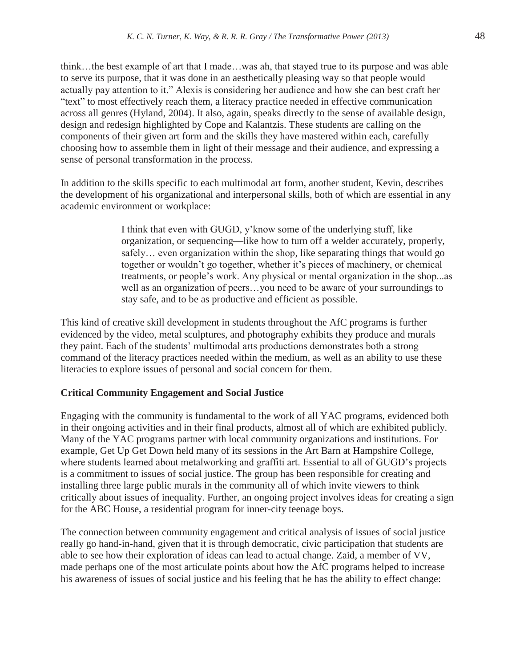think…the best example of art that I made…was ah, that stayed true to its purpose and was able to serve its purpose, that it was done in an aesthetically pleasing way so that people would actually pay attention to it." Alexis is considering her audience and how she can best craft her "text" to most effectively reach them, a literacy practice needed in effective communication across all genres (Hyland, 2004). It also, again, speaks directly to the sense of available design, design and redesign highlighted by Cope and Kalantzis. These students are calling on the components of their given art form and the skills they have mastered within each, carefully choosing how to assemble them in light of their message and their audience, and expressing a sense of personal transformation in the process.

In addition to the skills specific to each multimodal art form, another student, Kevin, describes the development of his organizational and interpersonal skills, both of which are essential in any academic environment or workplace:

> I think that even with GUGD, y'know some of the underlying stuff, like organization, or sequencing—like how to turn off a welder accurately, properly, safely… even organization within the shop, like separating things that would go together or wouldn't go together, whether it's pieces of machinery, or chemical treatments, or people's work. Any physical or mental organization in the shop...as well as an organization of peers…you need to be aware of your surroundings to stay safe, and to be as productive and efficient as possible.

This kind of creative skill development in students throughout the AfC programs is further evidenced by the video, metal sculptures, and photography exhibits they produce and murals they paint. Each of the students' multimodal arts productions demonstrates both a strong command of the literacy practices needed within the medium, as well as an ability to use these literacies to explore issues of personal and social concern for them.

# **Critical Community Engagement and Social Justice**

Engaging with the community is fundamental to the work of all YAC programs, evidenced both in their ongoing activities and in their final products, almost all of which are exhibited publicly. Many of the YAC programs partner with local community organizations and institutions. For example, Get Up Get Down held many of its sessions in the Art Barn at Hampshire College, where students learned about metalworking and graffiti art. Essential to all of GUGD's projects is a commitment to issues of social justice. The group has been responsible for creating and installing three large public murals in the community all of which invite viewers to think critically about issues of inequality. Further, an ongoing project involves ideas for creating a sign for the ABC House, a residential program for inner-city teenage boys.

The connection between community engagement and critical analysis of issues of social justice really go hand-in-hand, given that it is through democratic, civic participation that students are able to see how their exploration of ideas can lead to actual change. Zaid, a member of VV, made perhaps one of the most articulate points about how the AfC programs helped to increase his awareness of issues of social justice and his feeling that he has the ability to effect change: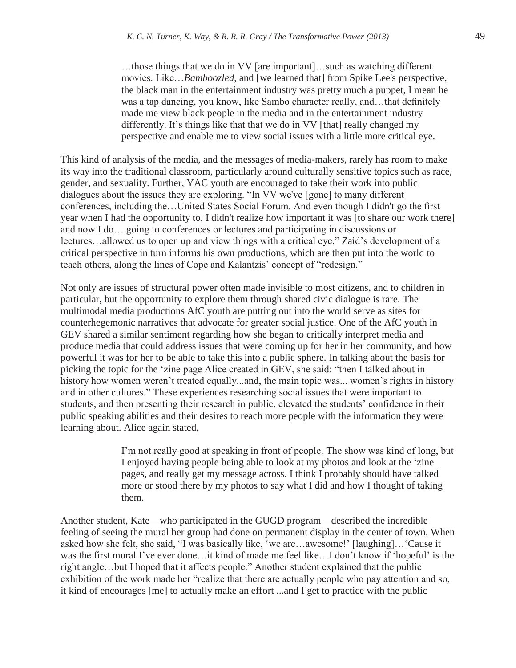…those things that we do in VV [are important]…such as watching different movies. Like…*Bamboozled*, and [we learned that] from Spike Lee's perspective, the black man in the entertainment industry was pretty much a puppet, I mean he was a tap dancing, you know, like Sambo character really, and…that definitely made me view black people in the media and in the entertainment industry differently. It's things like that that we do in VV [that] really changed my perspective and enable me to view social issues with a little more critical eye.

This kind of analysis of the media, and the messages of media-makers, rarely has room to make its way into the traditional classroom, particularly around culturally sensitive topics such as race, gender, and sexuality. Further, YAC youth are encouraged to take their work into public dialogues about the issues they are exploring. "In VV we've [gone] to many different conferences, including the…United States Social Forum. And even though I didn't go the first year when I had the opportunity to, I didn't realize how important it was [to share our work there] and now I do… going to conferences or lectures and participating in discussions or lectures…allowed us to open up and view things with a critical eye." Zaid's development of a critical perspective in turn informs his own productions, which are then put into the world to teach others, along the lines of Cope and Kalantzis' concept of "redesign."

Not only are issues of structural power often made invisible to most citizens, and to children in particular, but the opportunity to explore them through shared civic dialogue is rare. The multimodal media productions AfC youth are putting out into the world serve as sites for counterhegemonic narratives that advocate for greater social justice. One of the AfC youth in GEV shared a similar sentiment regarding how she began to critically interpret media and produce media that could address issues that were coming up for her in her community, and how powerful it was for her to be able to take this into a public sphere. In talking about the basis for picking the topic for the 'zine page Alice created in GEV, she said: "then I talked about in history how women weren't treated equally...and, the main topic was... women's rights in history and in other cultures." These experiences researching social issues that were important to students, and then presenting their research in public, elevated the students' confidence in their public speaking abilities and their desires to reach more people with the information they were learning about. Alice again stated,

> I'm not really good at speaking in front of people. The show was kind of long, but I enjoyed having people being able to look at my photos and look at the 'zine pages, and really get my message across. I think I probably should have talked more or stood there by my photos to say what I did and how I thought of taking them.

 Another student, Kate—who participated in the GUGD program—described the incredible feeling of seeing the mural her group had done on permanent display in the center of town. When asked how she felt, she said, "I was basically like, 'we are…awesome!' [laughing]…'Cause it was the first mural I've ever done…it kind of made me feel like…I don't know if 'hopeful' is the right angle…but I hoped that it affects people." Another student explained that the public exhibition of the work made her "realize that there are actually people who pay attention and so, it kind of encourages [me] to actually make an effort ...and I get to practice with the public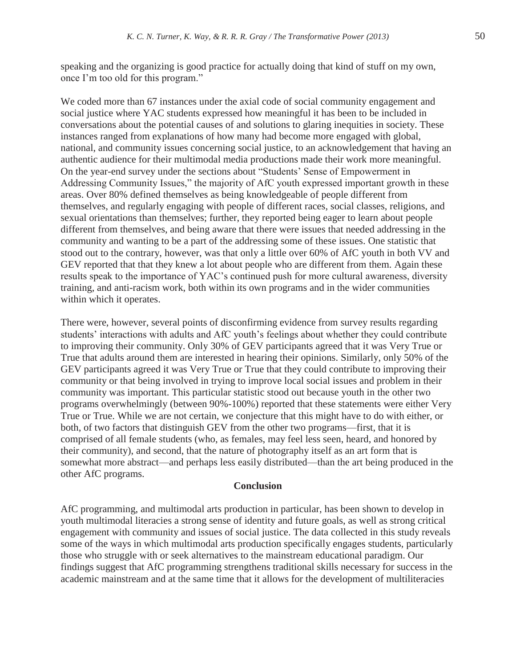speaking and the organizing is good practice for actually doing that kind of stuff on my own, once I'm too old for this program."

We coded more than 67 instances under the axial code of social community engagement and social justice where YAC students expressed how meaningful it has been to be included in conversations about the potential causes of and solutions to glaring inequities in society. These instances ranged from explanations of how many had become more engaged with global, national, and community issues concerning social justice, to an acknowledgement that having an authentic audience for their multimodal media productions made their work more meaningful. On the year-end survey under the sections about "Students' Sense of Empowerment in Addressing Community Issues," the majority of AfC youth expressed important growth in these areas. Over 80% defined themselves as being knowledgeable of people different from themselves, and regularly engaging with people of different races, social classes, religions, and sexual orientations than themselves; further, they reported being eager to learn about people different from themselves, and being aware that there were issues that needed addressing in the community and wanting to be a part of the addressing some of these issues. One statistic that stood out to the contrary, however, was that only a little over 60% of AfC youth in both VV and GEV reported that that they knew a lot about people who are different from them. Again these results speak to the importance of YAC's continued push for more cultural awareness, diversity training, and anti-racism work, both within its own programs and in the wider communities within which it operates.

There were, however, several points of disconfirming evidence from survey results regarding students' interactions with adults and AfC youth's feelings about whether they could contribute to improving their community. Only 30% of GEV participants agreed that it was Very True or True that adults around them are interested in hearing their opinions. Similarly, only 50% of the GEV participants agreed it was Very True or True that they could contribute to improving their community or that being involved in trying to improve local social issues and problem in their community was important. This particular statistic stood out because youth in the other two programs overwhelmingly (between 90%-100%) reported that these statements were either Very True or True. While we are not certain, we conjecture that this might have to do with either, or both, of two factors that distinguish GEV from the other two programs—first, that it is comprised of all female students (who, as females, may feel less seen, heard, and honored by their community), and second, that the nature of photography itself as an art form that is somewhat more abstract—and perhaps less easily distributed—than the art being produced in the other AfC programs.

#### **Conclusion**

AfC programming, and multimodal arts production in particular, has been shown to develop in youth multimodal literacies a strong sense of identity and future goals, as well as strong critical engagement with community and issues of social justice. The data collected in this study reveals some of the ways in which multimodal arts production specifically engages students, particularly those who struggle with or seek alternatives to the mainstream educational paradigm. Our findings suggest that AfC programming strengthens traditional skills necessary for success in the academic mainstream and at the same time that it allows for the development of multiliteracies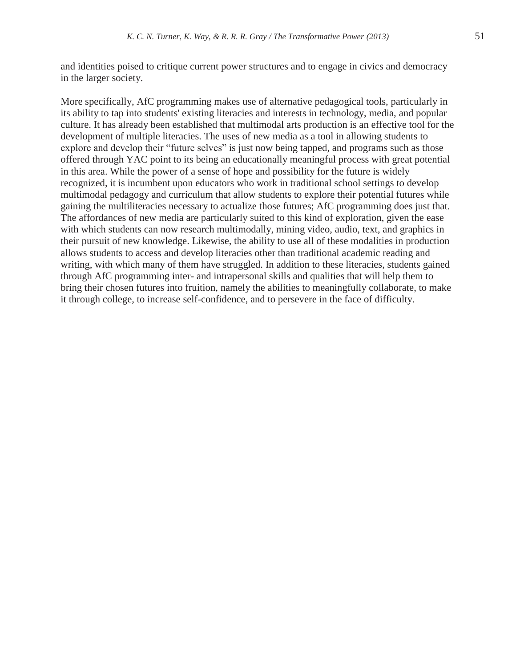and identities poised to critique current power structures and to engage in civics and democracy in the larger society.

More specifically, AfC programming makes use of alternative pedagogical tools, particularly in its ability to tap into students' existing literacies and interests in technology, media, and popular culture. It has already been established that multimodal arts production is an effective tool for the development of multiple literacies. The uses of new media as a tool in allowing students to explore and develop their "future selves" is just now being tapped, and programs such as those offered through YAC point to its being an educationally meaningful process with great potential in this area. While the power of a sense of hope and possibility for the future is widely recognized, it is incumbent upon educators who work in traditional school settings to develop multimodal pedagogy and curriculum that allow students to explore their potential futures while gaining the multiliteracies necessary to actualize those futures; AfC programming does just that. The affordances of new media are particularly suited to this kind of exploration, given the ease with which students can now research multimodally, mining video, audio, text, and graphics in their pursuit of new knowledge. Likewise, the ability to use all of these modalities in production allows students to access and develop literacies other than traditional academic reading and writing, with which many of them have struggled. In addition to these literacies, students gained through AfC programming inter- and intrapersonal skills and qualities that will help them to bring their chosen futures into fruition, namely the abilities to meaningfully collaborate, to make it through college, to increase self-confidence, and to persevere in the face of difficulty.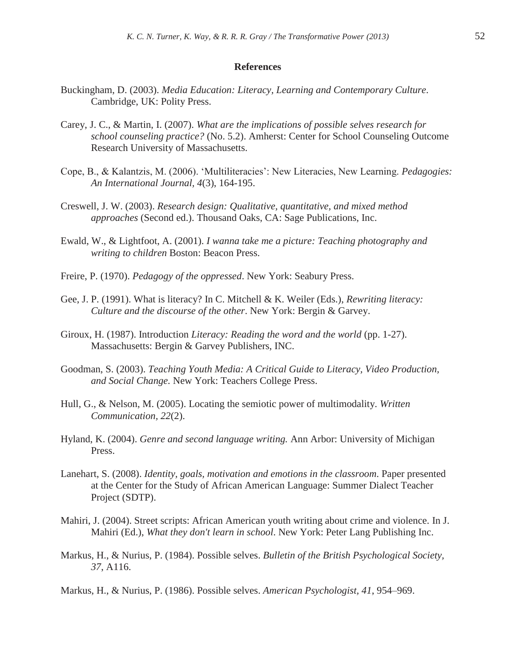#### **References**

- Buckingham, D. (2003). *Media Education: Literacy, Learning and Contemporary Culture*. Cambridge, UK: Polity Press.
- Carey, J. C., & Martin, I. (2007). *What are the implications of possible selves research for school counseling practice?* (No. 5.2). Amherst: Center for School Counseling Outcome Research University of Massachusetts.
- Cope, B., & Kalantzis, M. (2006). 'Multiliteracies': New Literacies, New Learning. *Pedagogies: An International Journal, 4*(3), 164-195.
- Creswell, J. W. (2003). *Research design: Qualitative, quantitative, and mixed method approaches* (Second ed.). Thousand Oaks, CA: Sage Publications, Inc.
- Ewald, W., & Lightfoot, A. (2001). *I wanna take me a picture: Teaching photography and writing to children* Boston: Beacon Press.
- Freire, P. (1970). *Pedagogy of the oppressed*. New York: Seabury Press.
- Gee, J. P. (1991). What is literacy? In C. Mitchell & K. Weiler (Eds.), *Rewriting literacy: Culture and the discourse of the other*. New York: Bergin & Garvey.
- Giroux, H. (1987). Introduction *Literacy: Reading the word and the world* (pp. 1-27). Massachusetts: Bergin & Garvey Publishers, INC.
- Goodman, S. (2003). *Teaching Youth Media: A Critical Guide to Literacy, Video Production, and Social Change.* New York: Teachers College Press.
- Hull, G., & Nelson, M. (2005). Locating the semiotic power of multimodality. *Written Communication, 22*(2).
- Hyland, K. (2004). *Genre and second language writing.* Ann Arbor: University of Michigan Press.
- Lanehart, S. (2008). *Identity, goals, motivation and emotions in the classroom*. Paper presented at the Center for the Study of African American Language: Summer Dialect Teacher Project (SDTP).
- Mahiri, J. (2004). Street scripts: African American youth writing about crime and violence. In J. Mahiri (Ed.), *What they don't learn in school*. New York: Peter Lang Publishing Inc.
- Markus, H., & Nurius, P. (1984). Possible selves. *Bulletin of the British Psychological Society, 37*, A116.
- Markus, H., & Nurius, P. (1986). Possible selves. *American Psychologist, 41*, 954–969.